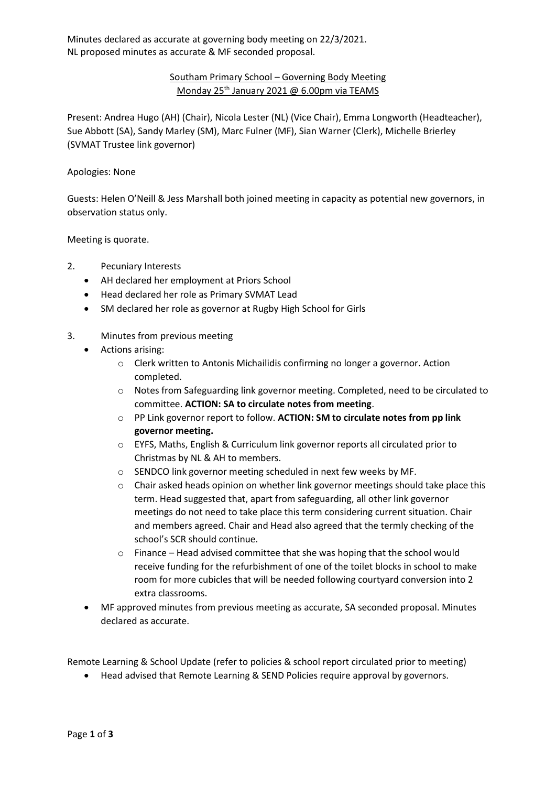Minutes declared as accurate at governing body meeting on 22/3/2021. NL proposed minutes as accurate & MF seconded proposal.

## Southam Primary School – Governing Body Meeting Monday 25th January 2021 @ 6.00pm via TEAMS

Present: Andrea Hugo (AH) (Chair), Nicola Lester (NL) (Vice Chair), Emma Longworth (Headteacher), Sue Abbott (SA), Sandy Marley (SM), Marc Fulner (MF), Sian Warner (Clerk), Michelle Brierley (SVMAT Trustee link governor)

## Apologies: None

Guests: Helen O'Neill & Jess Marshall both joined meeting in capacity as potential new governors, in observation status only.

Meeting is quorate.

- 2. Pecuniary Interests
	- AH declared her employment at Priors School
	- Head declared her role as Primary SVMAT Lead
	- SM declared her role as governor at Rugby High School for Girls
- 3. Minutes from previous meeting
	- Actions arising:
		- o Clerk written to Antonis Michailidis confirming no longer a governor. Action completed.
		- o Notes from Safeguarding link governor meeting. Completed, need to be circulated to committee. **ACTION: SA to circulate notes from meeting**.
		- o PP Link governor report to follow. **ACTION: SM to circulate notes from pp link governor meeting.**
		- o EYFS, Maths, English & Curriculum link governor reports all circulated prior to Christmas by NL & AH to members.
		- o SENDCO link governor meeting scheduled in next few weeks by MF.
		- o Chair asked heads opinion on whether link governor meetings should take place this term. Head suggested that, apart from safeguarding, all other link governor meetings do not need to take place this term considering current situation. Chair and members agreed. Chair and Head also agreed that the termly checking of the school's SCR should continue.
		- o Finance Head advised committee that she was hoping that the school would receive funding for the refurbishment of one of the toilet blocks in school to make room for more cubicles that will be needed following courtyard conversion into 2 extra classrooms.
	- MF approved minutes from previous meeting as accurate, SA seconded proposal. Minutes declared as accurate.

Remote Learning & School Update (refer to policies & school report circulated prior to meeting)

• Head advised that Remote Learning & SEND Policies require approval by governors.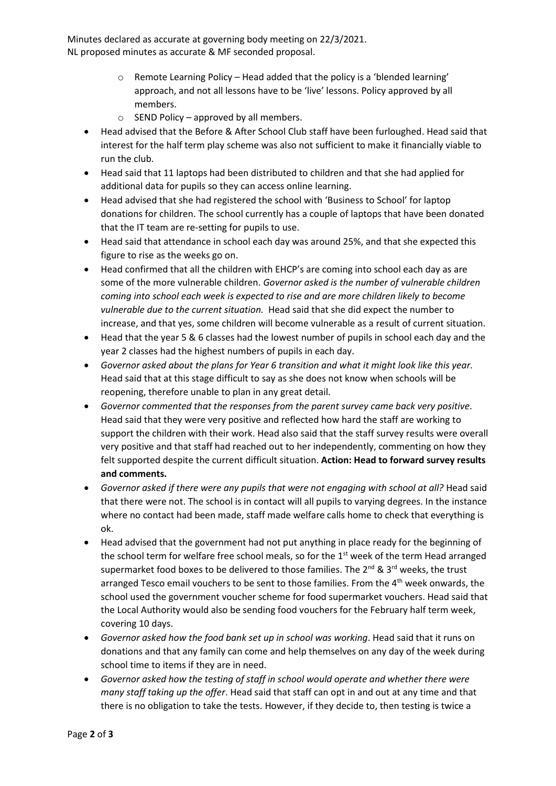Minutes declared as accurate at governing body meeting on 22/3/2021. NL proposed minutes as accurate & MF seconded proposal.

- o Remote Learning Policy Head added that the policy is a 'blended learning' approach, and not all lessons have to be 'live' lessons. Policy approved by all members.
- $\circ$  SEND Policy approved by all members.
- Head advised that the Before & After School Club staff have been furloughed. Head said that interest for the half term play scheme was also not sufficient to make it financially viable to run the club.
- Head said that 11 laptops had been distributed to children and that she had applied for additional data for pupils so they can access online learning.
- Head advised that she had registered the school with 'Business to School' for laptop donations for children. The school currently has a couple of laptops that have been donated that the IT team are re-setting for pupils to use.
- Head said that attendance in school each day was around 25%, and that she expected this figure to rise as the weeks go on.
- Head confirmed that all the children with EHCP's are coming into school each day as are some of the more vulnerable children. *Governor asked is the number of vulnerable children coming into school each week is expected to rise and are more children likely to become vulnerable due to the current situation.* Head said that she did expect the number to increase, and that yes, some children will become vulnerable as a result of current situation.
- Head that the year 5 & 6 classes had the lowest number of pupils in school each day and the year 2 classes had the highest numbers of pupils in each day.
- *Governor asked about the plans for Year 6 transition and what it might look like this year.* Head said that at this stage difficult to say as she does not know when schools will be reopening, therefore unable to plan in any great detail.
- *Governor commented that the responses from the parent survey came back very positive*. Head said that they were very positive and reflected how hard the staff are working to support the children with their work. Head also said that the staff survey results were overall very positive and that staff had reached out to her independently, commenting on how they felt supported despite the current difficult situation. **Action: Head to forward survey results and comments.**
- *Governor asked if there were any pupils that were not engaging with school at all?* Head said that there were not. The school is in contact will all pupils to varying degrees. In the instance where no contact had been made, staff made welfare calls home to check that everything is ok.
- Head advised that the government had not put anything in place ready for the beginning of the school term for welfare free school meals, so for the 1<sup>st</sup> week of the term Head arranged supermarket food boxes to be delivered to those families. The  $2^{nd}$  &  $3^{rd}$  weeks, the trust arranged Tesco email vouchers to be sent to those families. From the  $4<sup>th</sup>$  week onwards, the school used the government voucher scheme for food supermarket vouchers. Head said that the Local Authority would also be sending food vouchers for the February half term week, covering 10 days.
- *Governor asked how the food bank set up in school was working*. Head said that it runs on donations and that any family can come and help themselves on any day of the week during school time to items if they are in need.
- *Governor asked how the testing of staff in school would operate and whether there were many staff taking up the offer*. Head said that staff can opt in and out at any time and that there is no obligation to take the tests. However, if they decide to, then testing is twice a